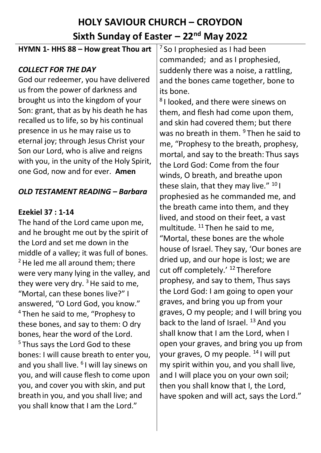# **HOLY SAVIOUR CHURCH – CROYDON** Sixth Sunday of Easter – 22<sup>nd</sup> May 2022

#### **HYMN 1- HHS 88 – How great Thou art**

### *COLLECT FOR THE DAY*

God our redeemer, you have delivered us from the power of darkness and brought us into the kingdom of your Son: grant, that as by his death he has recalled us to life, so by his continual presence in us he may raise us to eternal joy; through Jesus Christ your Son our Lord, who is alive and reigns with you, in the unity of the Holy Spirit, one God, now and for ever. **Amen**

## *OLD TESTAMENT READING – Barbara*

#### **Ezekiel 37 : 1-14**

The hand of the Lord came upon me, and he brought me out by the spirit of the Lord and set me down in the middle of a valley; it was full of bones. <sup>2</sup> He led me all around them; there were very many lying in the valley, and they were very dry.  $3$  He said to me, "Mortal, can these bones live?" I answered, "O Lord God, you know." <sup>4</sup> Then he said to me, "Prophesy to these bones, and say to them: O dry bones, hear the word of the Lord. <sup>5</sup> Thus says the Lord God to these bones: I will cause breath to enter you, and you shall live. <sup>6</sup>I will lay sinews on you, and will cause flesh to come upon you, and cover you with skin, and put breath in you, and you shall live; and you shall know that I am the Lord."

 $<sup>7</sup>$  So I prophesied as I had been</sup> commanded; and as I prophesied, suddenly there was a noise, a rattling, and the bones came together, bone to its bone.

8 I looked, and there were sinews on them, and flesh had come upon them, and skin had covered them; but there was no breath in them. <sup>9</sup> Then he said to me, "Prophesy to the breath, prophesy, mortal, and say to the breath: Thus says the Lord God: Come from the four winds, O breath, and breathe upon these slain, that they may live."  $^{10}$  I prophesied as he commanded me, and the breath came into them, and they lived, and stood on their feet, a vast multitude. <sup>11</sup> Then he said to me, "Mortal, these bones are the whole house of Israel. They say, 'Our bones are dried up, and our hope is lost; we are cut off completely.' <sup>12</sup> Therefore prophesy, and say to them, Thus says the Lord God: I am going to open your graves, and bring you up from your graves, O my people; and I will bring you back to the land of Israel.  $13$  And you shall know that I am the Lord, when I open your graves, and bring you up from your graves, O my people. <sup>14</sup> I will put my spirit within you, and you shall live, and I will place you on your own soil; then you shall know that I, the Lord, have spoken and will act, says the Lord."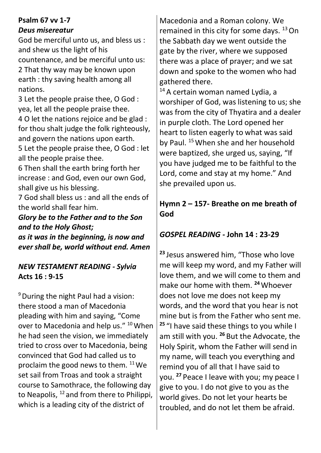## **Psalm 67 vv 1-7** *Deus misereatur*

God be merciful unto us, and bless us : and shew us the light of his countenance, and be merciful unto us: 2 That thy way may be known upon earth : thy saving health among all nations.

3 Let the people praise thee, O God : yea, let all the people praise thee. 4 O let the nations rejoice and be glad : for thou shalt judge the folk righteously, and govern the nations upon earth. 5 Let the people praise thee, O God : let

all the people praise thee.

6 Then shall the earth bring forth her increase : and God, even our own God, shall give us his blessing.

7 God shall bless us : and all the ends of the world shall fear him.

*Glory be to the Father and to the Son and to the Holy Ghost; as it was in the beginning, is now and ever shall be, world without end. Amen*

## *NEW TESTAMENT READING - Sylvia* **Acts 16 : 9-15**

<sup>9</sup> During the night Paul had a vision: there stood a man of Macedonia pleading with him and saying, "Come over to Macedonia and help us." <sup>10</sup> When he had seen the vision, we immediately tried to cross over to Macedonia, being convinced that God had called us to proclaim the good news to them. <sup>11</sup> We set sail from Troas and took a straight course to Samothrace, the following day to Neapolis,  $^{12}$  and from there to Philippi, which is a leading city of the district of

Macedonia and a Roman colony. We remained in this city for some days.  $13$  On the Sabbath day we went outside the gate by the river, where we supposed there was a place of prayer; and we sat down and spoke to the women who had gathered there.

<sup>14</sup> A certain woman named Lydia, a worshiper of God, was listening to us; she was from the city of Thyatira and a dealer in purple cloth. The Lord opened her heart to listen eagerly to what was said by Paul. <sup>15</sup> When she and her household were baptized, she urged us, saying, "If you have judged me to be faithful to the Lord, come and stay at my home." And she prevailed upon us.

## **Hymn 2 – 157- Breathe on me breath of God**

# *GOSPEL READING -* **John 14 : 23-29**

**<sup>23</sup>** Jesus answered him, "Those who love me will keep my word, and my Father will love them, and we will come to them and make our home with them. **<sup>24</sup>**Whoever does not love me does not keep my words, and the word that you hear is not mine but is from the Father who sent me. **<sup>25</sup>** "I have said these things to you while I am still with you. **<sup>26</sup>** But the Advocate, the Holy Spirit, whom the Father will send in my name, will teach you everything and remind you of all that I have said to you. **<sup>27</sup>** Peace I leave with you; my peace I give to you. I do not give to you as the world gives. Do not let your hearts be troubled, and do not let them be afraid.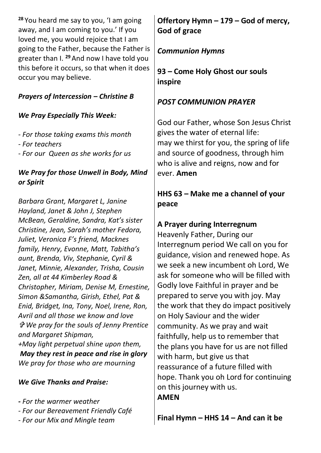**<sup>28</sup>** You heard me say to you, 'I am going away, and I am coming to you.' If you loved me, you would rejoice that I am going to the Father, because the Father is greater than I. **<sup>29</sup>** And now I have told you this before it occurs, so that when it does occur you may believe.

## *Prayers of Intercession – Christine B*

#### *We Pray Especially This Week:*

- *- For those taking exams this month*
- *- For teachers*
- *- For our Queen as she works for us*

### *We Pray for those Unwell in Body, Mind or Spirit*

*Barbara Grant, Margaret L, Janine Hayland, Janet & John J, Stephen McBean, Geraldine, Sandra, Kat's sister Christine, Jean, Sarah's mother Fedora, Juliet, Veronica F's friend, Macknes family, Henry, Evonne, Matt, Tabitha's aunt, Brenda, Viv, Stephanie, Cyril & Janet, Minnie, Alexander, Trisha, Cousin Zen, all at 44 Kimberley Road & Christopher, Miriam, Denise M, Ernestine, Simon &Samantha, Girish, Ethel, Pat & Enid, Bridget, Ina, Tony, Noel, Irene, Ron, Avril and all those we know and love We pray for the souls of Jenny Prentice and Margaret Shipman, +May light perpetual shine upon them,*

*May they rest in peace and rise in glory We pray for those who are mourning*

#### *We Give Thanks and Praise:*

- *- For the warmer weather*
- *- For our Bereavement Friendly Café*
- *- For our Mix and Mingle team*

# **Offertory Hymn – 179 – God of mercy, God of grace**

# *Communion Hymns*

**93 – Come Holy Ghost our souls inspire**

# *POST COMMUNION PRAYER*

God our Father, whose Son Jesus Christ gives the water of eternal life: may we thirst for you, the spring of life and source of goodness, through him who is alive and reigns, now and for ever. **Amen**

## **HHS 63 – Make me a channel of your peace**

# **A Prayer during Interregnum**

Heavenly Father, During our Interregnum period We call on you for guidance, vision and renewed hope. As we seek a new incumbent oh Lord, We ask for someone who will be filled with Godly love Faithful in prayer and be prepared to serve you with joy. May the work that they do impact positively on Holy Saviour and the wider community. As we pray and wait faithfully, help us to remember that the plans you have for us are not filled with harm, but give us that reassurance of a future filled with hope. Thank you oh Lord for continuing on this journey with us. **AMEN**

**Final Hymn – HHS 14 – And can it be**